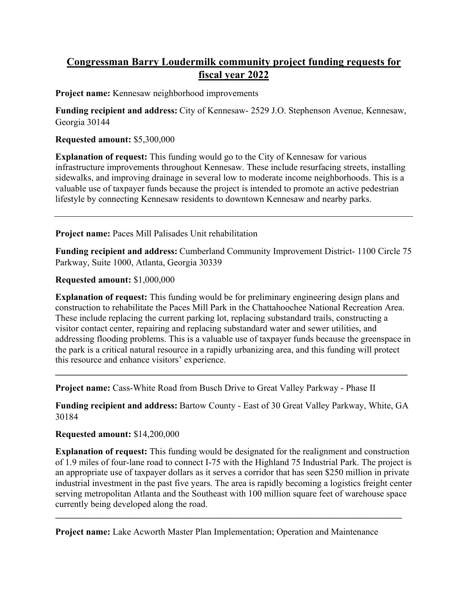# **Congressman Barry Loudermilk community project funding requests for fiscal year 2022**

**Project name:** Kennesaw neighborhood improvements

**Funding recipient and address:** City of Kennesaw- 2529 J.O. Stephenson Avenue, Kennesaw, Georgia 30144

### **Requested amount:** \$5,300,000

**Explanation of request:** This funding would go to the City of Kennesaw for various infrastructure improvements throughout Kennesaw. These include resurfacing streets, installing sidewalks, and improving drainage in several low to moderate income neighborhoods. This is a valuable use of taxpayer funds because the project is intended to promote an active pedestrian lifestyle by connecting Kennesaw residents to downtown Kennesaw and nearby parks.

**Project name:** Paces Mill Palisades Unit rehabilitation

**Funding recipient and address:** Cumberland Community Improvement District- 1100 Circle 75 Parkway, Suite 1000, Atlanta, Georgia 30339

**Requested amount:** \$1,000,000

**Explanation of request:** This funding would be for preliminary engineering design plans and construction to rehabilitate the Paces Mill Park in the Chattahoochee National Recreation Area. These include replacing the current parking lot, replacing substandard trails, constructing a visitor contact center, repairing and replacing substandard water and sewer utilities, and addressing flooding problems. This is a valuable use of taxpayer funds because the greenspace in the park is a critical natural resource in a rapidly urbanizing area, and this funding will protect this resource and enhance visitors' experience.

**Project name:** Cass-White Road from Busch Drive to Great Valley Parkway - Phase II

**Funding recipient and address:** Bartow County - East of 30 Great Valley Parkway, White, GA 30184

**\_\_\_\_\_\_\_\_\_\_\_\_\_\_\_\_\_\_\_\_\_\_\_\_\_\_\_\_\_\_\_\_\_\_\_\_\_\_\_\_\_\_\_\_\_\_\_\_\_\_\_\_\_\_\_\_\_\_\_\_\_\_\_\_\_\_\_\_\_\_\_\_\_\_\_\_\_**

## **Requested amount:** \$14,200,000

**Explanation of request:** This funding would be designated for the realignment and construction of 1.9 miles of four-lane road to connect I-75 with the Highland 75 Industrial Park. The project is an appropriate use of taxpayer dollars as it serves a corridor that has seen \$250 million in private industrial investment in the past five years. The area is rapidly becoming a logistics freight center serving metropolitan Atlanta and the Southeast with 100 million square feet of warehouse space currently being developed along the road.

\_\_\_\_\_\_\_\_\_\_\_\_\_\_\_\_\_\_\_\_\_\_\_\_\_\_\_\_\_\_\_\_\_\_\_\_\_\_\_\_\_\_\_\_\_\_\_\_\_\_\_\_\_\_\_\_\_\_\_\_\_\_\_\_\_\_\_\_\_\_\_\_\_\_\_\_\_\_\_\_\_\_\_

**Project name:** Lake Acworth Master Plan Implementation; Operation and Maintenance